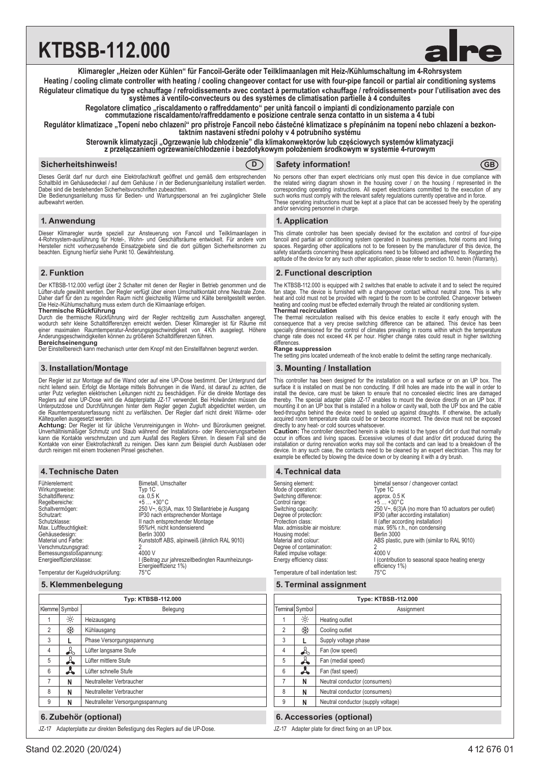# **KTBSB-112.000**



**Heating / cooling climate controller with heating / cooling changeover contact for use with four-pipe fancoil or partial air conditioning systems** Régulateur climatique du type «chauffage / refroidissement» avec contact à permutation «chauffage / refroidissement» pour l'utilisation avec des<br>systèmes à ventilo-convecteurs ou des systèmes de climatisation partielle à 4

Regolatore climatico "riscaldamento o raffreddamento" per unità fancoil o impianti di condizionamento parziale con<br>commutazione riscaldamento/raffreddamento e posizione centrale senza contatto in un sistema a 4 tubi

**Regulátor klimatizace "Topení nebo chlazení" pro přístroje Fancoil nebo částečné klimatizace s přepínáním na topení nebo chlazení a bezkon- taktním nastavení střední polohy v 4 potrubního systému**

**Sterownik klimatyzacji "Ogrzewanie lub chłodzenie" dla klimakonwektorów lub częściowych systemów klimatyzacji**

**z przełączaniem ogrzewanie/chłodzenie i bezdotykowym położeniem środkowym w systemie 4-rurowym**

#### **Sicherheitshinweis! CD** Safety information! **GB**



Dieses Gerät darf nur durch eine Elektrofachkraft geöffnet und gemäß dem entsprechenden<br>Schaltbild im Gehäusedeckel / auf dem Gehäuse / in der Bedienungsanleitung installiert werden. Dabei sind die bestehenden Sicherheitsvorschriften zubeachten.

Die Bedienungsanleitung muss für Bedien- und Wartungspersonal an frei zugänglicher Stelle aufbewahrt werden.

#### **1. Anwendung**

Dieser Klimaregler wurde speziell zur Ansteuerung von Fancoil und Teilklimaanlagen in 4-Rohrsystem-ausführung für Hotel-, Wohn- und Geschäftsräume entwickelt. Für andere vom Hersteller nicht vorherzusehende Einsatzgebiete sind die dort gültigen Sicherheitsnormen zu beachten. Eignung hierfür siehe Punkt 10. Gewährleistung.

### **2. Funktion**

Der KTBSB-112.000 verfügt über 2 Schalter mit denen der Regler in Betrieb genommen und die Lüfter-stufe gewählt werden. Der Regler verfügt über einen Umschaltkontakt ohne Neutrale Zone.<br>Daher darf für den zu regelnden Raum nicht gleichzeitig Wärme und Kälte bereitgestellt werden.<br>Die Heiz-/Kühlumschaltung muss e **Thermische Rückführung**

Durch die thermische Rückführung wird der Regler rechtzeitig zum Ausschalten angeregt,<br>wodurch sehr kleine Schaltdifferenzen erreicht werden. Dieser Klimaregler ist für Räume mit<br>einer maximalen Raumtemperatur-Änderungsges

**Bereichseinengung**<br>Der Einstellbereich kann mechanisch unter dem Knopf mit den Einstellfahnen begrenzt werden.

#### **3. Installation/Montage**

Der Regler ist zur Montage auf die Wand oder auf eine UP-Dose bestimmt. Der Untergrund darf nicht leitend sein. Erfolgt die Montage mittels Bohrungen in die Wand, ist darauf zu achten, die unter Putz verlegten elektrischen Leitungen nicht zu beschädigen. Für die direkte Montage des<br>Reglers auf eine UP-Dose wird die Adapterplatte JZ-17 verwendet. Bei Holwänden müssen die<br>Unterputzdose und Durchführungen hinte die Raumtemperaturerfassung nicht zu verfälschen. Der Regler darf nicht direkt Wärme- oder

Kältequellen ausgesetzt werden. **Achtung:** Der Regler ist für übliche Verunreinigungen in Wohn- und Büroräumen geeignet. Unverhältnismäßiger Schmutz und Staub während der Installations- oder Renovierungsarbeiten<br>kann die Kontakte verschmutzen und zum Ausfall des Reglers führen. In diesem Fall sind<br>Kontakte von einer Elektrofachkraft zu reini durch reinigen mit einem trockenen Pinsel geschehen.

### **4. Technische Daten 4. Technical data**

| Fühlerelement:<br>Wirkungsweise:  | Bimetall, Umschalter<br>Typ 1C                                           |
|-----------------------------------|--------------------------------------------------------------------------|
| Schaltdifferenz:                  | ca. 0,5 K                                                                |
| Reaelbereiche:                    | $+5+30$ °C                                                               |
| Schaltvermögen:                   | 250 V~, 6(3)A, max. 10 Stellantriebe je Ausgang                          |
| Schutzart:                        | IP30 nach entsprechender Montage                                         |
| Schutzklasse:                     | II nach entsprechender Montage                                           |
| Max. Luftfeuchtigkeit:            | 95%rH, nicht kondensierend                                               |
| Gehäusedesign:                    | Berlin 3000                                                              |
| Material und Farbe:               | Kunststoff ABS, alpinweiß (ähnlich RAL 9010)                             |
| Verschmutzungsgrad:               |                                                                          |
| Bemessungsstoßspannung:           | 4000 V                                                                   |
| Energieeffizienzklasse:           | I (Beitrag zur jahreszeitbedingten Raumheizungs-<br>Energieeffizienz 1%) |
| Temperatur der Kugeldruckprüfung: | $75^{\circ}$ C                                                           |

## **5. Klemmenbelegung**

|                | Typ: KTBSB-112.000                                                  |                                                               |   |                 | <b>Type</b>               |  |
|----------------|---------------------------------------------------------------------|---------------------------------------------------------------|---|-----------------|---------------------------|--|
|                | Klemme Symbol                                                       | Belegung                                                      |   | Terminal Symbol |                           |  |
| 1              | $\frac{1}{2}$                                                       | Heizausgang                                                   |   | $\frac{1}{2}$   | Heating outlet            |  |
| $\overline{2}$ | ₩                                                                   | Kühlausgang                                                   | 2 | ₩               | Cooling outlet            |  |
| 3              |                                                                     | Phase Versorgungsspannung                                     | 3 |                 | Supply voltage phase      |  |
| 4              | I<br>$\mathcal{A}$<br>Lüfter langsame Stufe<br>Fan (low speed)<br>4 |                                                               |   |                 |                           |  |
| 5              | ┻                                                                   | Lüfter mittlere Stufe                                         | 5 | d               | Fan (medial speed)        |  |
| 6              | Å                                                                   | ᄉ<br>Lüfter schnelle Stufe<br>6<br>Fan (fast speed)           |   |                 |                           |  |
| 7              | N                                                                   | Neutralleiter Verbraucher<br>7<br>Neutral conductor (cor<br>N |   |                 |                           |  |
| 8              | N                                                                   | Neutralleiter Verbraucher                                     | 8 | N               | Neutral conductor (cor    |  |
| 9              | N                                                                   | Neutralleiter Versorgungsspannung                             | 9 | N               | Neutral conductor (sup    |  |
|                |                                                                     | 6. Zubehör (optional)                                         |   |                 | 6. Accessories (optional) |  |

JZ-17 Adapterplatte zur direkten Befestigung des Reglers auf die UP-Dose. JZ-17 Adapter plate for direct fixing on an UP box.

No persons other than expert electricians only must open this device in due compliance with the related viring diagram shown in the housing cover / on the housing / represented in the corresponding operating instructions. All expert electricians committed to the execution of any<br>such works must comply with the relevant safety regulations currently operative and in force.<br>These operating instructions mus and/or servicing personnel in charge.

#### **1. Application**

This climate controller has been specially devised for the excitation and control of four-pipe fancoil and partial air conditioning system operated in business premises, hotel rooms and living spaces. Regarding other applications not to be foreseen by the manufacturer of this device, the safety standards concerning these applications need to be followed and adhered to. Regarding the aptitude of the device for any such other application, please refer to section 10. herein (Warranty).

### **2. Functional description**

The KTBSB-112.000 is equipped with 2 switches that enable to activate it and to select the required fan stage. The device is furnished with a changeover contact without neutral zone. This is why<br>heat and cold must not be provided with regard to the room to be controlled. Changeover between<br>heating and cooling must be eff **Thermal recirculation**

The thermal recirculation realised with this device enables to excite it early enough with the<br>consequence that a very precise switching difference can be attained. This device has been<br>specially dimensioned for the contro change rate does not exceed 4K per hour. Higher change rates could result in higher switching differences.

#### **Range suppression**

The setting pins located underneath of the knob enable to delimit the setting range mechanically.

#### **3. Mounting / Installation**

This controller has been designed for the installation on a wall surface or on an UP box. The surface it is installed on must be non conducting. If drill holes are made into the wall in order to install the device, care must be taken to ensure that no concealed electric lines are damaged<br>thereby. The special adapter plate JZ-17 enables to mount the device directly on an UP box. If<br>mounting it on an UP box that is acquired room temperature data could be or become incorrect. The device must not be exposed directly to any heat- or cold sources whatsoever.

**Caution:** The controller described herein is able to resist to the types of dirt or dust that normally occur in offices and living spaces. Excessive volumes of dust and/or dirt of installation or during renovation works m example be effected by blowing the device down or by cleaning it with a dry brush.

| Sensing element:                      | bimetal sensor / changeover contact                     |
|---------------------------------------|---------------------------------------------------------|
| Mode of operation:                    | Type 1C                                                 |
| Switching difference:                 | approx. 0.5 K                                           |
| Control range:                        | $+5+30°C$                                               |
| Switching capacity:                   | 250 $Vz$ , 6(3)A (no more than 10 actuators per outlet) |
| Degree of protection:                 | IP30 (after according installation)                     |
| Protection class:                     | II (after according installation)                       |
| Max. admissible air moisture:         | max. 95% r.h., non condensing                           |
| Housing model:                        | Berlin 3000                                             |
| Material and colour:                  | ABS plastic, pure with (similar to RAL 9010)            |
| Degree of contamination:              |                                                         |
| Rated impulse voltage:                | 4000 V                                                  |
| Energy efficiency class:              | I (contribution to seasonal space heating energy        |
|                                       | efficiency 1%)                                          |
| Temperature of ball indentation test: | 75°C                                                    |

# **5. Terminal assignment**

| Type: KTBSB-112.000 |                                    |                                    |  |
|---------------------|------------------------------------|------------------------------------|--|
|                     | Terminal Symbol                    | Assignment                         |  |
| 1                   | $\frac{1}{2}$                      | Heating outlet                     |  |
| $\mathfrak{p}$      | ₩                                  | Cooling outlet                     |  |
| 3                   |                                    | Supply voltage phase               |  |
| $\overline{4}$      | ♨                                  | Fan (low speed)                    |  |
| 5                   | ┻                                  | Fan (medial speed)                 |  |
| $6\overline{6}$     | Å<br>Fan (fast speed)              |                                    |  |
| 7                   | Neutral conductor (consumers)<br>N |                                    |  |
| 8                   | Neutral conductor (consumers)<br>N |                                    |  |
| 9                   | N                                  | Neutral conductor (supply voltage) |  |

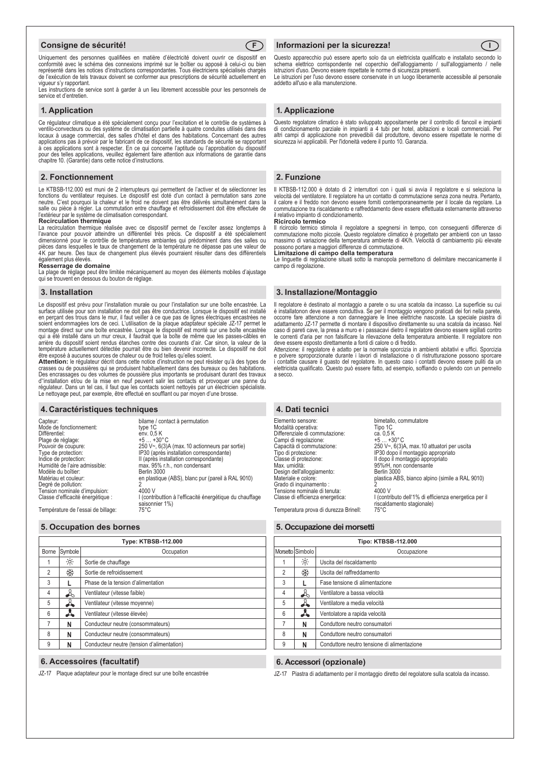#### **Consigne de sécurité! F**



Uniquement des personnes qualifiées en matière d'électricité doivent ouvrir ce dispositif en<br>conformité avec le schéma des connexions imprimé sur le boîtier ou apposé à celui-ci ou bien représenté dans les notices d'instructions correspondantes. Tous électriciens spécialisés chargés de l'exécution de tels travaux doivent se conformer aux prescriptions de sécurité actuellement en vigueur s'y rapportant. Les instructions de service sont à garder à un lieu librement accessible pour les personnels de

service et d'entretien.

#### **1. Application**

Ce régulateur climatique a été spécialement conçu pour l'excitation et le contrôle de systèmes à ventilo-convecteurs ou des système de climatisation partielle à quatre conduites utilisés dans des locaux à usage commercial, des salles d'hôtel et dans des habitations. Concernant des autres applications pas à prévoir par le fabricant de ce dispositif, les standards de sécurité se rapportant<br>à ces applications sont à respecter. En ce qui concerne l'aptitude ou l'approbation du dispositif<br>pour des telles applic chapitre 10. (Garantie) dans cette notice d'instructions.

#### **2. Fonctionnement**

Le KTBSB-112.000 est muni de 2 interrupteurs qui permettent de l'activer et de sélectionner les fonctions du ventilateur requises. Le dispositif est doté d'un contact à permutation sans zone neutre. C'est pourquoi la chaleur et le froid ne doivent pas être délivrés simultanément dans la salle ou pièce à régler. La commutation entre chauffage et refroidissement doit être effectuée de l'extérieur par le système de climatisation correspondant.

#### **Recirculation thermique**

La recirculation thermique réalisée avec ce dispositif permet de l'exciter assez longtemps à l'avance pour pouvoir atteindre un différentiel très précis. Ce dispositif a été spécialement dimensionné pour le contrôle de températures ambiantes qui prédominent dans des salles ou<br>pièces dans lesquelles le taux de changement de la température ne dépasse pas une valeur de<br>4K par heure. Des taux de changement plu également plus élevés.

**Resserrage de domaine**<br>La plage de réglage peut être limitée mécaniquement au moyen des éléments mobiles d'ajustage qui se trouvent en dessous du bouton de réglage.

#### **3. Installation**

Le dispositif est prévu pour l'installation murale ou pour l'installation sur une boîte encastrée. La surface utilisée pour son installation ne doit pas être conductrice. Lorsque le dispositif est installé en perçant des trous dans le mur, il faut veiller à ce que pas de lignes électriques encastrées ne soient endommagées lors de ceci. L'utilisation de la plaque adaptateur spéciale JZ-17 permet le montage direct sur une boîte encastrée. Lorsque le dispositif est monté sur une boîte encastrée qui a été installé dans un mur creux, il faudrait que la boîte de même que les passes-câbles en arrière du dispositif soient rendus étanches contre des courants d'air. Car sinon, la valeur de la température actuellement détectée pourrait être ou bien devenir incorrecte. Le dispositif ne doit

être exposé à aucunes sources de chaleur ou de froid telles qu'elles soient. **Attention:** le régulateur décrit dans cette notice d'instruction ne peut résister qu'à des types de crasses ou de poussières qui se produisent habituellement dans des bureaux ou des habitations. Des encrassages ou des volumes de poussière plus importants se produisant durant des travaux d''installation et/ou de la mise en neuf peuvent salir les contacts et provoquer une panne du régulateur. Dans un tel cas, il faut que les contacts soient nettoyés par un électricien spécialiste. Le nettoyage peut, par exemple, être effectué en soufflant ou par moyen d'une brosse.

#### **4. Caractéristiques techniques**

| Capteur:                              | bilame / contact à permutation                                             |
|---------------------------------------|----------------------------------------------------------------------------|
| Mode de fonctionnement:               | type 1C                                                                    |
| Différentiel:                         | env. 0.5 K                                                                 |
| Plage de réglage:                     | $+5+30$ °C                                                                 |
| Pouvoir de coupure:                   | 250 V~, 6(3)A (max. 10 actionneurs par sortie)                             |
| Type de protection:                   | IP30 (après installation correspondante)                                   |
| Indice de protection:                 | Il (après installation correspondante)                                     |
| Humidité de l'aire admissible:        | max. 95% r.h., non condensant                                              |
| Modèle du boîtier:                    | Berlin 3000                                                                |
| Matériau et couleur:                  | en plastique (ABS), blanc pur (pareil à RAL 9010)                          |
| Degré de pollution:                   |                                                                            |
| Tension nominale d'impulsion:         | 4000 V                                                                     |
| Classe d'efficacité énergétique :     | I (contributtion à l'efficacité énergétique du chauffage<br>saisonnier 1%) |
| Tours facture als Decent de billeurs. | 7000                                                                       |

Température de l'essai de billage: 75°C

#### **5. Occupation des bornes**

| Type: KTBSB-112.000 |         |                                            |
|---------------------|---------|--------------------------------------------|
| Borne               | Symbole | Occupation                                 |
|                     | ÷ò.     | Sortie de chauffage                        |
| $\overline{2}$      | ₩       | Sortie de refroidissement                  |
| 3                   |         | Phase de la tension d'alimentation         |
| $\overline{4}$      | I       | Ventilateur (vitesse faible)               |
| 5                   | d.      | Ventilateur (vitesse moyenne)              |
| 6                   | Å       | Ventilateur (vitesse élevée)               |
| 7                   | N       | Conducteur neutre (consommateurs)          |
| 8                   | N       | Conducteur neutre (consommateurs)          |
| 9                   | N       | Conducteur neutre (tension d'alimentation) |

 **6. Accessoires (facultatif)**

JZ-17 Plaque adaptateur pour le montage direct sur une boîte encastrée

#### **Informazioni per la sicurezza!**  $\sqrt{1}$

Questo apparecchio può essere aperto solo da un elettricista qualificato e installato secondo lo<br>schema elettrico corrispondente nel coperchio dell'alloggiamento / sull'alloggiamento / nelle

istruzioni d'uso. Devono essere rispettate le norme di sicurezza presenti. Le istruzioni per l'uso devono essere conservate in un luogo liberamente accessibile al personale addetto all'uso e alla manutenzione.

### **1. Applicazione**

Questo regolatore climatico è stato sviluppato appositamente per il controllo di fancoil e impianti di condizionamento parziale in impianti a 4 tubi per hotel, abitazioni e locali commerciali. Per altri campi di applicazione non prevedibili dal produttore, devono essere rispettate le norme di sicurezza ivi applicabili. Per l'idoneità vedere il punto 10. Garanzia.

#### **2. Funzione**

Il KTBSB-112.000 è dotato di 2 interruttori con i quali si avvia il regolatore e si seleziona la velocità del ventilatore. Il regolatore ha un contatto di commutazione senza zona neutra. Pertanto, il calore e il freddo non devono essere forniti contemporaneamente per il locale da regolare. La commutazione tra riscaldamento e raffreddamento deve essere effettuata esternamente attraverso il relativo impianto di condizionamento.

#### **Ricircolo termico**

Il ricircolo termico stimola il regolatore a spegnersi in tempo, con conseguenti differenze di commutazione molto piccole. Questo regolatore climatico è progettato per ambienti con un tasso massimo di variazione della temperatura ambiente di 4K/h. Velocità di cambiamento più elevate<br>possono portare a maggiori differenze di commutazione.<br>**Limitazione di campo della temperatura** 

Le linguette di regolazione situati sotto la manopola permettono di delimitare meccanicamente il campo di regolazione.

#### **3. Installazione/Montaggio**

Il regolatore è destinato al montaggio a parete o su una scatola da incasso. La superficie su cui è installatonon deve essere conduttiva. Se per il montaggio vengono praticati dei fori nella parete,<br>occorre fare attenzione a non danneggiare le linee elettriche nascoste. La speciale piastra di<br>adattamento JZ-17 permette caso di pareti cave, la presa a muro e i passacavi dietro il regolatore devono essere sigillati contro le correnti d'aria per non falsificare la rilevazione della temperatura ambiente. Il regolatore non deve essere esposto direttamente a fonti di calore o di freddo.

Attenzione: il regolatore è adatto per la normale sporcizia in ambienti abitativi e uffici. Sporcizia<br>e polvere sproporzionate durante i lavori di installazione o di ristrutturazione possono sporcare<br>i contattie causare il elettricista qualificato. Questo può essere fatto, ad esempio, soffiando o pulendo con un pennello a secco.

| 4. Dati tecnici                                                                                                                                                                                                                                                                                                                                      |                                                                                                                                                                                                                                                                                                                                                                                                    |
|------------------------------------------------------------------------------------------------------------------------------------------------------------------------------------------------------------------------------------------------------------------------------------------------------------------------------------------------------|----------------------------------------------------------------------------------------------------------------------------------------------------------------------------------------------------------------------------------------------------------------------------------------------------------------------------------------------------------------------------------------------------|
| Elemento sensore:<br>Modalità operativa:<br>Differenziale di commutazione:<br>Campi di regolazione:<br>Capacità di commutazione:<br>Tipo di protezione:<br>Classe di protezione:<br>Max. umidità:<br>Design dell'alloggiamento:<br>Materiale e colore:<br>Grado di inquinamento:<br>Tensione nominale di tenuta:<br>Classe di efficienza energetica: | bimetallo, commutatore<br>Tipo 1C<br>ca. 0.5 K<br>$+5$ $+30^{\circ}$ C<br>250 V~, 6(3)A, max. 10 attuatori per uscita<br>IP30 dopo il montaggio appropriato<br>Il dopo il montaggio appropriato<br>95%rH, non condensante<br><b>Berlin 3000</b><br>plastica ABS, bianco alpino (simile a RAL 9010)<br>4000 V<br>I (contributo dell'1% di efficienza energetica per il<br>riscaldamento stagionale) |
| Temperatura prova di durezza Brinell:                                                                                                                                                                                                                                                                                                                | $75^{\circ}$ C                                                                                                                                                                                                                                                                                                                                                                                     |

### **5. Occupazione dei morsetti**

| Tipo: KTBSB-112.000 |                  |                                             |  |
|---------------------|------------------|---------------------------------------------|--|
|                     | Morsetto Simbolo | Occupazione                                 |  |
|                     | $\frac{1}{2}$    | Uscita del riscaldamento                    |  |
| $\overline{2}$      | ₩                | Uscita del raffreddamento                   |  |
| 3                   |                  | Fase tensione di alimentazione              |  |
| 4                   | $\frac{1}{2}$    | Ventilatore a bassa velocità                |  |
| 5                   | ┻                | Ventilatore a media velocità                |  |
| 6                   | Å                | Ventolatore a rapida velocità               |  |
| $\overline{7}$      | N                | Conduttore neutro consumatori               |  |
| 8                   | N                | Conduttore neutro consumatori               |  |
| 9                   | N                | Conduttore neutro tensione di alimentazione |  |

#### **6. Accessori (opzionale)**

JZ-17 Piastra di adattamento per il montaggio diretto del regolatore sulla scatola da incasso.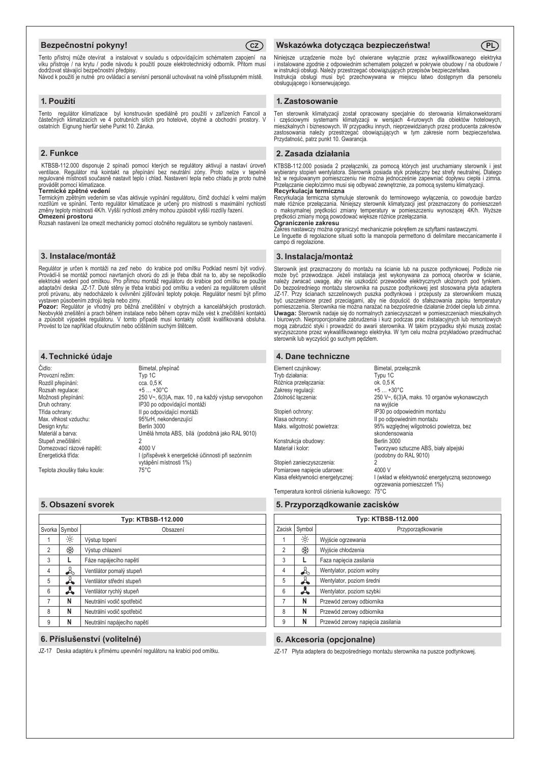### **Bezpečnostní pokyny! CZ**



Tento přístroj může otevírat a instalovat v souladu s odpovídajícím schématem zapojení na víku přístroje / na krytu / podle návodu k použití pouze elektrotechnický odborník. Přitom musí dodržovat stávající bezpečnostní předpisy. Návod k použití je nutné pro ovládací a servisní personál uchovávat na volně přísstupném místě.

#### **1. Použití**

Tento regulátor klimatizace byl konstruován spediálně pro použití v zařízeních Fancoil a<br>částečných klimatizacích ve 4 potrubních stítch pro hotelové, obytné a obchodní prostory. V<br>ostatních Eignung hierfür siehe Punkt 10

### **2. Funkce**

KTBSB-112.000 disponuje 2 spínači pomocí kterých se regulátory aktivují a nastaví úroveň<br>ventilace. Regulátor má kointakt na přepínání bez neutrální zóny. Proto nelze v tepelně regulované místnosti současně nastavit teplo i chlad. Nastavení tepla nebo chladu je proto nutné provádět pomocí klimatizace. **Termické zpětné vedení**

Termickým zpětným vedením se včas aktivuje vypínání regulátoru, čímž dochází k velmi malým rozdílům ve spínání. Tento regulátor klimatizace je určený pro místnosti s maximální rychlostí změny teploty místnosti 4K/h. Vyšší rychlosti změny mohou způsobit vyšší rozdíly řazení. **Omezení prostoru**

Rozsah nastavení lze omezit mechanicky pomocí otočného regulátoru se symboly nastavení.

### **3. Instalace/montáž**

Regulátor je určen k montáži na zeď nebo do krabice pod omítku Podklad nesmí být vodivý. Provádí-li se montáž pomocí navrtaných otvorů do zdi je třeba dbát na to, aby se nepoškodilo<br>elektrické vedení pod omítkou. Pro přímou montáž regulátoru do krabice pod omítku se použije<br>adaptační deska JZ-17. Duté stěny j

proti průvanu, aby nedocházelo k ovlivnění zjišťování teploty pokoje. Regulátor nesmí být přímo<br>vystaven působením zdrojů tepla nebo zimy.<br>**Pozor:** Regulátor je vhodný pro běžná znečištění v obytných a kancelářských prosto

Il po odpovídající montáži

vytápění místnosti 1%)<br>75°C

Umělá hmota ABS, bílá (podobná jako RAL 9010)

I (příspěvek k energetické účinnosti při sezónním

#### **4. Technické údaje**

Čidlo: Bimetal, přepínač Provozní režim: Typ 1C Rozdíl přepínání:<br>
Rozsah regulace: +5 ... +30°C Rozsah regulace:<br>Možnosti přenínání: Možnosti přepínání:<br>
250 V~, 6(3)A, max. 10, na každý výstup servopohon<br>
250 po odpovídající montáži Druh ochrany:<br>
Třída ochrany:<br>
II po odpovídající montáži Max. vlhkost vzduchu: 95%rH, nekondenzující<br>Design krytu: 96%rH, nekondenzující Design krytu:<br>Materiál a barva: Stupeň znečištění:<br>
Domezovací rázové napětí:<br>
4000 V Domezovací rázové napětí:<br>Energetická třída:

Teplota zkoušky tlaku koule:

#### **5. Obsazení svorek**

| <b>Typ: KTBSB-112.000</b> |                               |                             |
|---------------------------|-------------------------------|-----------------------------|
| Svorka                    | Symbol                        | Obsazení                    |
|                           | $\frac{1}{2}$                 | Výstup topení               |
| $\mathfrak{p}$            | ₩                             | Výstup chlazení             |
| 3                         |                               | Fáze napájecího napětí      |
| $\overline{4}$            | $\mathbb{R}$                  | Ventilátor pomalý stupeň    |
| 5                         | ┻                             | Ventilátor střední stupeň   |
| 6                         | Å<br>Ventilátor rychlý stupeň |                             |
| 7                         | N                             | Neutrální vodič spotřebič   |
| 8                         | N                             | Neutrální vodič spotřebič   |
| 9                         | N                             | Neutrální napájecího napětí |

### **6. Příslušenství (volitelné)**

JZ-17 Deska adaptéru k přímému upevnění regulátoru na krabici pod omítku.

#### **Wskazówka dotycząca bezpieczeństwa! PL**

Niniejsze urządzenie może być otwierane wyłącznie przez wykwalifikowanego elektryka i instalowane zgodnie z odpowiednim schematem połączeń w pokrywie obudowy / na obudowie / w instrukcji obsługi. Należy przestrzegać obowiązujących przepisów bezpieczeństwa. Instrukcja obsługi musi być przechowywana w miejscu łatwo dostępnym dla personelu obsługującego i konserwującego.

#### **1. Zastosowanie**

Ten sterownik klimatyzacji został opracowany specjalnie do sterowania klimakonwektorami<br>i częściowymi systemami klimatyzacji w wersjach 4-rurowych dla obiektów hotelowych,<br>mieszkalnych ibiznesowych.Worzypadku innych, niepr Przydatność, patrz punkt 10. Gwarancja.

#### **2. Zasada działania**

KTBSB-112.000 posiada 2 przełączniki, za pomocą których jest uruchamiany sterownik i jest wybierany stopień wentylatora. Sterownik posiada styk przełączny bez strefy neutralnej. Dlatego też w regulowanym pomieszczeniu nie można jednocześnie zapewniać dopływu ciepła i zimna. Przełączanie ciepło/zimno musi się odbywać zewnętrznie, za pomocą systemu klimatyzacji.

Recyrkulacja termiczna<br>Recyrkulacja termiczna stynuluje sterownik do terminowego wyłączenia, co powoduje bardzo<br>male różnice przełączania. Niniejszy sterownik klimatyzacji jest przeznaczony do pomieszczeń<br>o maksymalnej prę

Zakres nastawczy można ograniczyć mechanicznie pokrętłem ze sztyftami nastawczymi. Le linguette di regolazione situati sotto la manopola permettono di delimitare meccanicamente il campo di regolazione.

#### **3. Instalacja/montaż**

Sterownik jest przeznaczony do montażu na ścianie lub na puszce podtynkowej. Podłoże nie<br>może być przewodzące. Jeżeli instalacja jest wykonywana za pomocą otworów w ścianie,<br>należy zwracać uwagę, aby nie uszkodzić przewodó JZ-17. Przy ścianach szczelinowych puszka podtynkowa i przepusty za sterownikiem muszą<br>być uszczelnione przed przeciągami, aby nie dopuścić do sfałszowania zapisu temperatury<br>pomieszczenia. Sterownikanie możnanarażaćna bez **Uwaga:** Sterownik nadaje się do normalnych zanieczyszczeń w pomieszczeniach mieszkalnych i biurowych. Nieproporcjonalne zabrudzenia i kurz podczas prac instalacyjnych lub remontowych mogą zabrudzić styki i prowadzić do awarii sterownika. W takim przypadku styki muszą zostać wyczyszczone przez wykwalifikowanego elektryka. W tym celu można przykładowo przedmuchać sterownik lub wyczyścić go suchym pędzlem.

#### **4. Dane techniczne**

| Element czujnikowy:                            | Bimetal, przełącznik                                                         |
|------------------------------------------------|------------------------------------------------------------------------------|
| Tryb działania:                                | Typu 1C                                                                      |
| Różnica przełączania:                          | ok. 0,5 K                                                                    |
| Zakresy regulacji:                             | $+5+30$ °C                                                                   |
| Zdolność łaczenia:                             | 250 V~, 6(3)A, maks. 10 organów wykonawczych<br>na wyjście                   |
| Stopień ochrony:                               | IP30 po odpowiednim montażu                                                  |
| Klasa ochrony:                                 | Il po odpowiednim montażu                                                    |
| Maks. wilgotność powietrza:                    | 95% względnej wilgotności powietrza, bez                                     |
|                                                | skondensowania                                                               |
| Konstrukcja obudowy:                           | <b>Berlin 3000</b>                                                           |
| Materiał i kolor:                              | Tworzywo sztuczne ABS, biały alpejski                                        |
|                                                | (podobny do RAL 9010)                                                        |
| Stopień zanieczyszczenia:                      | 2                                                                            |
| Pomiarowe napiecie udarowe:                    | 4000 V                                                                       |
| Klasa efektywności energetycznej:              | I (wkład w efektywność energetyczną sezonowego<br>ogrzewania pomieszczeń 1%) |
| Temperatura kontroli ciśnienia kulkowego: 75°C |                                                                              |
|                                                |                                                                              |

#### **5. Przyporządkowanie zacisków**

| Typ: KTBSB-112.000 |               |                                   |  |
|--------------------|---------------|-----------------------------------|--|
| Zacisk             | Symbol        | Przyporządkowanie                 |  |
|                    | $\frac{1}{2}$ | Wyjście ogrzewania                |  |
| $\overline{2}$     | ⋇             | Wyjście chłodzenia                |  |
| 3                  |               | Faza napiecia zasilania           |  |
| $\overline{4}$     | $\frac{1}{2}$ | Wentylator, poziom wolny          |  |
| 5                  | $\mathbb A$   | Wentylator, poziom średni         |  |
| 6                  | Å             | Wentylator, poziom szybki         |  |
| 7                  | N             | Przewód zerowy odbiornika         |  |
| 8                  | N             | Przewód zerowy odbiornika         |  |
| 9                  | N             | Przewód zerowy napięcia zasilania |  |

#### **6. Akcesoria (opcjonalne)**

JZ-17 Płyta adaptera do bezpośredniego montażu sterownika na puszce podtynkowej.